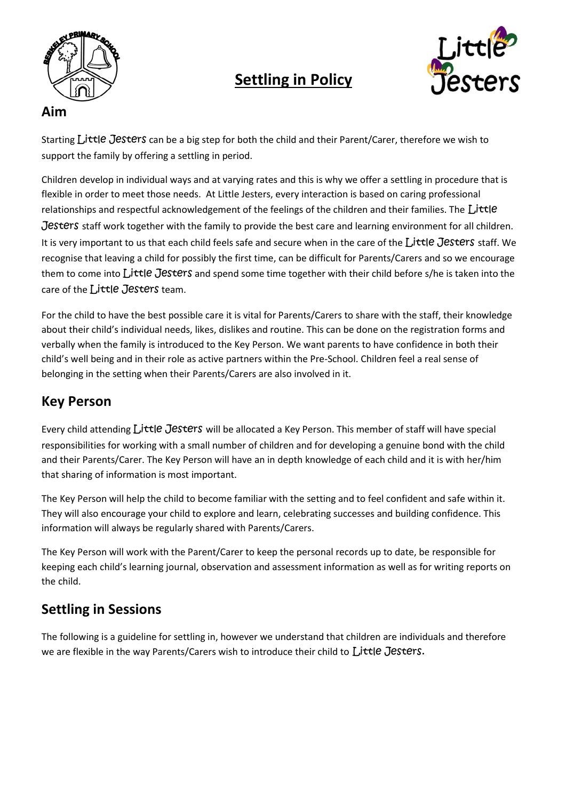

# **Settling in Policy**



### **Aim**

Starting Little Jesters can be a big step for both the child and their Parent/Carer, therefore we wish to support the family by offering a settling in period.

Children develop in individual ways and at varying rates and this is why we offer a settling in procedure that is flexible in order to meet those needs. At Little Jesters, every interaction is based on caring professional relationships and respectful acknowledgement of the feelings of the children and their families. The  $L$ ittle Jesters staff work together with the family to provide the best care and learning environment for all children. It is very important to us that each child feels safe and secure when in the care of the Little Jesters staff. We recognise that leaving a child for possibly the first time, can be difficult for Parents/Carers and so we encourage them to come into Little Jesters and spend some time together with their child before s/he is taken into the care of the  $\int$ , *ittle* Jesters team.

For the child to have the best possible care it is vital for Parents/Carers to share with the staff, their knowledge about their child's individual needs, likes, dislikes and routine. This can be done on the registration forms and verbally when the family is introduced to the Key Person. We want parents to have confidence in both their child's well being and in their role as active partners within the Pre-School. Children feel a real sense of belonging in the setting when their Parents/Carers are also involved in it.

# **Key Person**

Every child attending Little Jesters will be allocated a Key Person. This member of staff will have special responsibilities for working with a small number of children and for developing a genuine bond with the child and their Parents/Carer. The Key Person will have an in depth knowledge of each child and it is with her/him that sharing of information is most important.

The Key Person will help the child to become familiar with the setting and to feel confident and safe within it. They will also encourage your child to explore and learn, celebrating successes and building confidence. This information will always be regularly shared with Parents/Carers.

The Key Person will work with the Parent/Carer to keep the personal records up to date, be responsible for keeping each child's learning journal, observation and assessment information as well as for writing reports on the child.

# **Settling in Sessions**

The following is a guideline for settling in, however we understand that children are individuals and therefore we are flexible in the way Parents/Carers wish to introduce their child to Little Jesters.